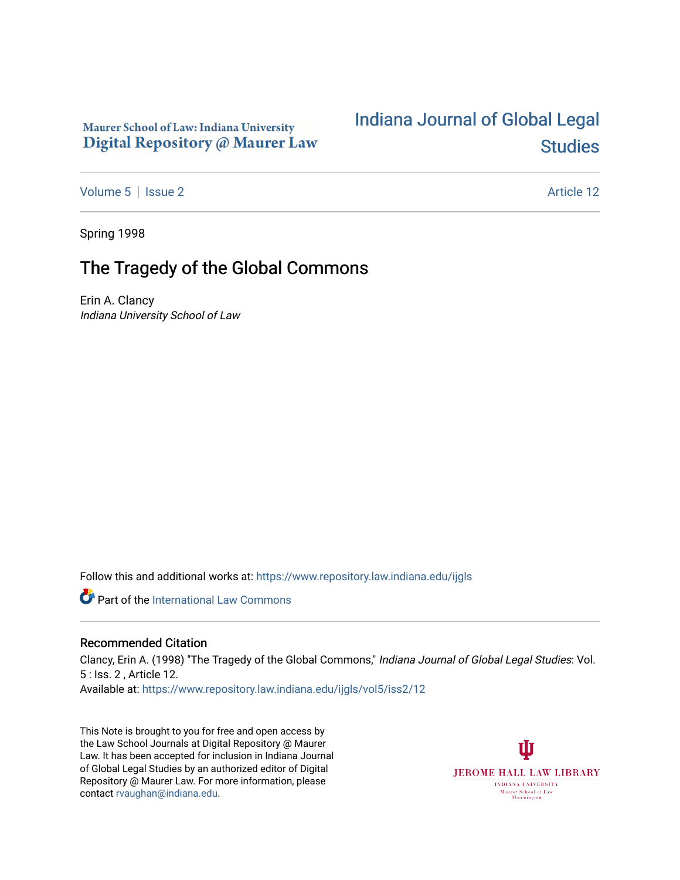### Maurer School of Law: Indiana University Digital Repository @ Maurer Law

# [Indiana Journal of Global Legal](https://www.repository.law.indiana.edu/ijgls)  **Studies**

[Volume 5](https://www.repository.law.indiana.edu/ijgls/vol5) | [Issue 2](https://www.repository.law.indiana.edu/ijgls/vol5/iss2) Article 12

Spring 1998

## The Tragedy of the Global Commons

Erin A. Clancy Indiana University School of Law

Follow this and additional works at: [https://www.repository.law.indiana.edu/ijgls](https://www.repository.law.indiana.edu/ijgls?utm_source=www.repository.law.indiana.edu%2Fijgls%2Fvol5%2Fiss2%2F12&utm_medium=PDF&utm_campaign=PDFCoverPages) 

**C** Part of the International Law Commons

### Recommended Citation

Clancy, Erin A. (1998) "The Tragedy of the Global Commons," Indiana Journal of Global Legal Studies: Vol. 5 : Iss. 2 , Article 12. Available at: [https://www.repository.law.indiana.edu/ijgls/vol5/iss2/12](https://www.repository.law.indiana.edu/ijgls/vol5/iss2/12?utm_source=www.repository.law.indiana.edu%2Fijgls%2Fvol5%2Fiss2%2F12&utm_medium=PDF&utm_campaign=PDFCoverPages)

This Note is brought to you for free and open access by the Law School Journals at Digital Repository @ Maurer Law. It has been accepted for inclusion in Indiana Journal of Global Legal Studies by an authorized editor of Digital Repository @ Maurer Law. For more information, please contact [rvaughan@indiana.edu](mailto:rvaughan@indiana.edu).

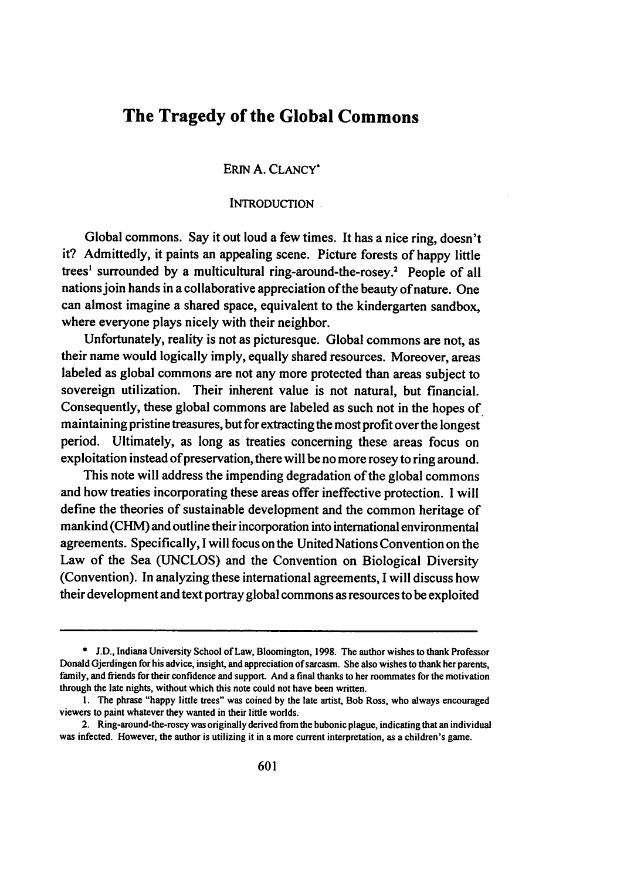## **The Tragedy of the Global Commons**

ERiN **A. CLANCY\***

INTRODUCTION

Global commons. Say it out loud a few times. It has a nice ring, doesn't it? Admittedly, it paints an appealing scene. Picture forests of happy little trees<sup>1</sup> surrounded by a multicultural ring-around-the-rosey.<sup>2</sup> People of all nations join hands in a collaborative appreciation of the beauty of nature. One can almost imagine a shared space, equivalent to the kindergarten sandbox, where everyone plays nicely with their neighbor.

Unfortunately, reality is not as picturesque. Global commons are not, as their name would logically imply, equally shared resources. Moreover, areas labeled as global commons are not any more protected than areas subject to sovereign utilization. Their inherent value is not natural, but financial. Consequently, these global commons are labeled as such not in the hopes of maintaining pristine treasures, but for extracting the most profit over the longest period. Ultimately, as long as treaties concerning these areas focus on exploitation instead of preservation, there will be no more rosey to ring around.

This note will address the impending degradation of the global commons and how treaties incorporating these areas offer ineffective protection. **I** will define the theories of sustainable development and the common heritage of mankind (CHM) and outline their incorporation into international environmental agreements. Specifically, **I** will focus on the UnitedNations Convention on the Law of the Sea **(UNCLOS)** and the Convention on Biological Diversity (Convention). In analyzing these international agreements, **I** will discuss how their development and text portray global commons as resources to be exploited

**<sup>\*</sup> J.D.,** Indiana University School of Law, Bloomington, **1998.** The author wishes to thank Professor Donald Gjerdingen for his advice, insight, and appreciation of sarcasm. **She** also wishes to thank her parents, **family,** and friends for their confidence and support. And a final thanks to her roommates for the motivation through the late nights, without which this note could not have been written.

**<sup>1.</sup>** The phrase "happy little trees" was coined **by** the late artist, Bob Ross, who always encouraged viewers to **paint** whatever they wanted in their little worlds.

<sup>2.</sup> Ring-around-the-rosey was originally derived from the bubonic plague, indicating that an individual was infected. However, the author is utilizing it in a more current interpretation, as a children's game.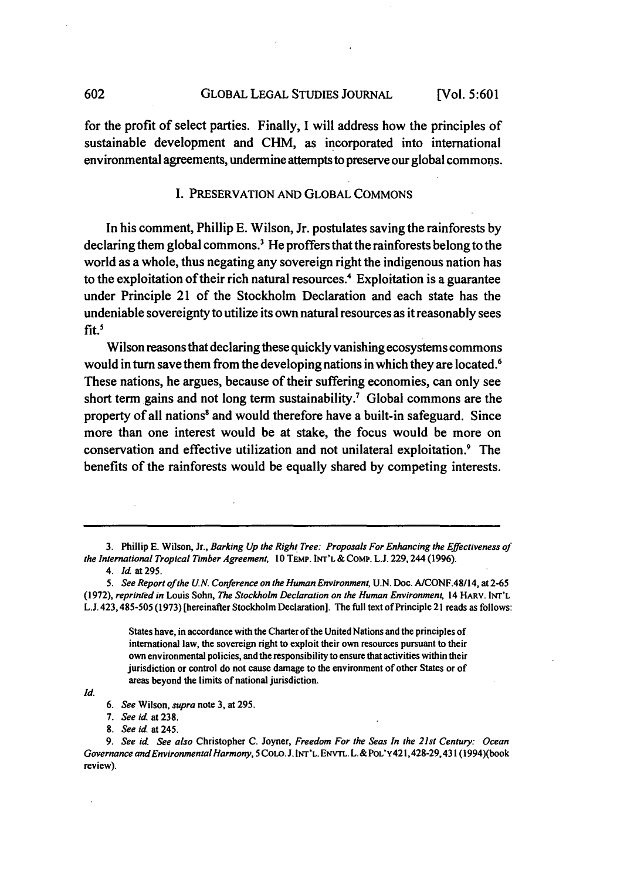GLOBAL LEGAL STUDIES JOURNAL **[Vol. 5:601**

for the profit of select parties. Finally, I will address how the principles of sustainable development and **CHM,** as incorporated into international environmental agreements, undermine attempts to preserve our global commons.

#### I. PRESERVATION AND GLOBAL COMMONS

In his comment, Phillip **E.** Wilson, Jr. postulates saving the rainforests **by** declaring them global commons? He proffers that the rainforests belong to the world as a whole, thus negating any sovereign right the indigenous nation has to the exploitation of their rich natural resources.<sup>4</sup> Exploitation is a guarantee under Principle 21 of the Stockholm Declaration and each state has the undeniable sovereignty to utilize its own natural resources as it reasonably sees fit.<sup>5</sup>

Wilson reasons that declaring these quickly vanishing ecosystems commons would in turn save them from the developing nations in which they are located.<sup>6</sup> These nations, he argues, because of their suffering economies, can only see short term gains and not long term sustainability.<sup>7</sup> Global commons are the property of all nations' and would therefore have a built-in safeguard. Since more than one interest would be at stake, the focus would be more on conservation and effective utilization and not unilateral exploitation." The benefits of the rainforests would be equally shared **by** competing interests.

States have, in accordance with the Charter of the United Nations and the principles of international law, the sovereign right to exploit their own resources pursuant to their own environmental policies, and the responsibility to ensure that activities within their jurisdiction or control do not cause damage to the environment of other States or of areas beyond the limits of national jurisdiction.

602

<sup>3.</sup> Phillip E. Wilson, Jr., *Barking Up the Right Tree: Proposals For Enhancing the Effectiveness of the International Tropical Timber Agreement,* 10 **TEMP.** INT'L & CoMp. L.J. 229,244(1996).

*<sup>4.</sup> Id.* at 295.

*<sup>5.</sup> See Report of the U.N. Conference on the Human Environment,* U.N. Doc. A/CONF.48/14, at 2-65 (1972), *reprinted in* Louis Sohn, *The Stockholm Declaration on the Human Environment,* 14 HARV. **INT'L** L.J. 423,485-505 (1973) [hereinafter Stockholm Declaration]. The **full** text of Principle 21 reads as follows:

*Id.*

*<sup>6.</sup> See* Wilson, *supra* note **3,** at 295.

*<sup>7.</sup> See id* at 238.

*<sup>8.</sup> See id at* 245.

*<sup>9.</sup> See id. See also* Christopher **C.** Joyner, *Freedom For the Seas In the 21st Century: Ocean Governance and Environmental Harmony, 5* **COLO.** J. **INr'L.** ENvTL. L.&POL'y421,428-29,431 (1994)(book review).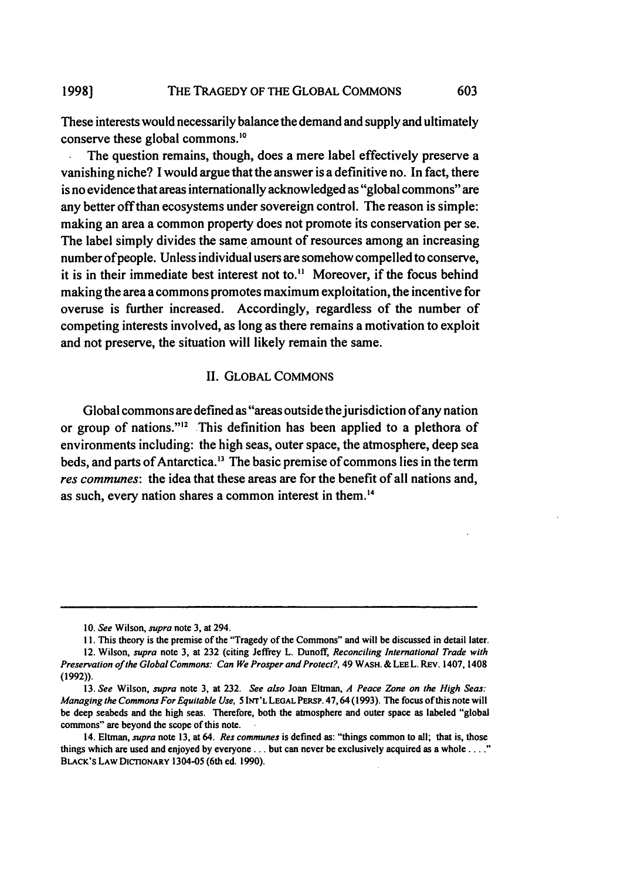#### THE TRAGEDY OF THE GLOBAL COMMONS **1998]**

These interests would necessarily balance the demand and supply and ultimately conserve these global commons.<sup>10</sup>

603

**.** The question remains, though, does a mere label effectively preserve a vanishing niche? I would argue that the answer is a definitive no. In fact, there is no evidence that areas internationally acknowledged as "global commons" are any better off than ecosystems under sovereign control. The reason is simple: making an area a common property does not promote its conservation per se. The label simply divides the same amount of resources among an increasing number of people. Unless individual users are somehow compelled to conserve, it is in their immediate best interest not to." Moreover, if the focus behind making the area a commons promotes maximum exploitation, the incentive for overuse is further increased. Accordingly, regardless of the number of competing interests involved, as long as there remains a motivation to exploit and not preserve, the situation will likely remain the same.

#### II. GLOBAL COMMONS

Global commons are defined as "areas outside the jurisdiction of any nation or group of nations."'2 This definition has been applied to a plethora of environments including: the high seas, outer space, the atmosphere, deep sea beds, and parts of Antarctica.<sup>13</sup> The basic premise of commons lies in the term *res communes:* the idea that these areas are for the benefit of all nations and, as such, every nation shares a common interest in them. <sup>4</sup>

<sup>10.</sup> *See* Wilson, *supra* note 3, at 294.

**<sup>11.</sup>** This theory is the premise of the "Tragedy of the Commons" and will be discussed in detail later. 12. Wilson, *supra* note 3, at 232 (citing Jeffrey L. Dunoff, *Reconciling International Trade with Preservation of the Global Commons: Can We Prosper and Protect?,* **49** WASH. & **LEE** L. REv. 1407, 1408 (1992)).

**<sup>13.</sup>** *See* Wilson, *supra* note **3,** at 232. *See also* Joan Eltman, *A Peace Zone on the High Seas: Managing the Commons For Equitable Use,* **5 INT'L LEGAL PERPS.** 47,64 (1993). The focus of this note will be deep seabeds and the high seas. Therefore, both the atmosphere and outer space as labeled "global commons" are beyond the scope of this note.

<sup>14.</sup> Eltman, *supra* note **13,** at 64. *Res communes* is defined as: "things common to all; that is, those things which are used and enjoyed **by everyone...** but can never be exclusively acquired as a whole **..** BLACK's **LAW DICTIONARY** 1304-05 (6th **ed. 1990).**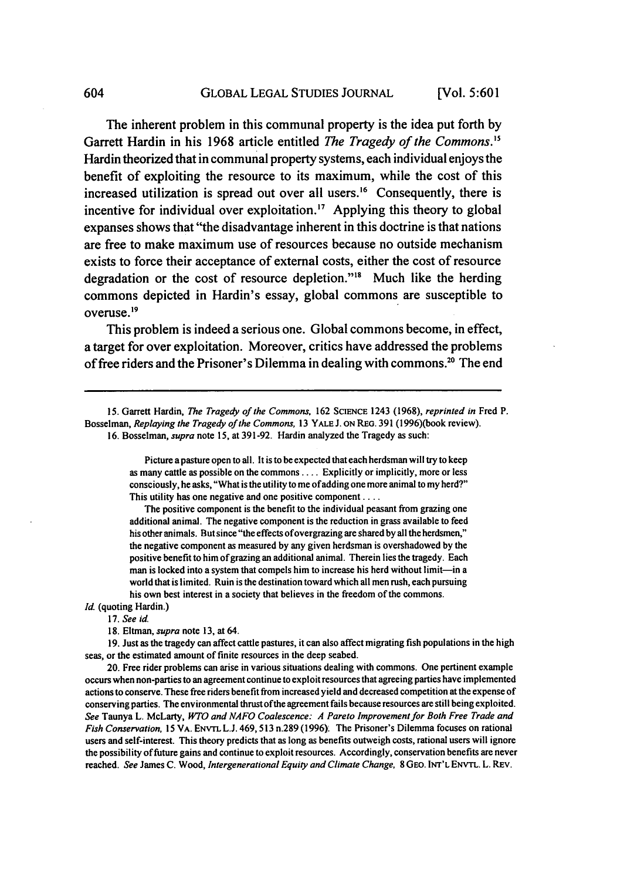The inherent problem in this communal property is the idea put forth **by** Garrett Hardin in his **1968** article entitled *The Tragedy of the Commons."* Hardin theorized that in communal property systems, each individual enjoys the benefit of exploiting the resource to its maximum, while the cost of this increased utilization is spread out over all users.<sup>16</sup> Consequently, there is incentive for individual over exploitation.<sup>17</sup> Applying this theory to global expanses shows that "the disadvantage inherent in this doctrine is that nations are free to make maximum use of resources because no outside mechanism exists to force their acceptance of external costs, either the cost of resource degradation or the cost of resource depletion."<sup>18</sup> Much like the herding commons depicted in Hardin's essay, global commons are susceptible to overuse. <sup>19</sup>

This problem is indeed a serious one. Global commons become, in effect, a target for over exploitation. Moreover, critics have addressed the problems of free riders and the Prisoner's Dilemma in dealing with commons.<sup>20</sup> The end

15. Garrett Hardin, *The Tragedy of the Commons,* 162 **SCIENCE** 1243 (1968), *reprinted in* Fred P. Bosselman, *Replaying the Tragedy of the* Commons, 13 YALE J. ON REG. 391 (1996)(book review). 16. Bosselman, *supra* note 15, at 391-92. Hardin analyzed the Tragedy as such:

> Picture a pasture open to all. It is to be expected that each herdsman will try to keep as many cattle as possible on the commons .... Explicitly or implicitly, more or less consciously, he asks, "What is the utility to me of adding one more animal to my herd?" This utility has one negative and one positive component ....

> The positive component is the benefit to the individual peasant from grazing one additional animal. The negative component is the reduction in grass available to feed his other animals. But since "the effects ofovergrazing are shared by all the herdsmen," the negative component as measured by any given herdsman is overshadowed by the positive benefit to him of grazing an additional animal. Therein lies the tragedy. Each man is locked into a system that compels him to increase his herd without limit-in a world that is limited. Ruin is the destination toward which all men rush, each pursuing his own best interest in a society that believes in the freedom of the commons.

**Id.** (quoting Hardin.)

- 17. *See* id.
	- 18. Eltman, *supra* note 13, at 64.

19. Just as the tragedy can affect cattle pastures, it can also affect migrating fish populations in the high seas, or the estimated amount of finite resources in the deep seabed.

20. Free rider problems can arise in various situations dealing with commons. One pertinent example occurs when non-parties to an agreement continue to exploit resources that agreeing parties have implemented actions to conserve. These free riders benefit from increased yield and decreased competition at the expense of conserving parties. The environmental thrustofthe agreement fails because resources are still being exploited. *See* Taunya L. McLarty, *WTO and NAFO Coalescence: A Pareto Improvement for Both Free Trade and Fish Conservation,* 15 VA. ENvrL L.J. 469,513 n.289 (1996). The Prisoner's Dilemma focuses on rational users and self-interest. This theory predicts that as long as benefits outweigh costs, rational users will ignore the possibility of future gains and continue to exploit resources. Accordingly, conservation benefits are never reached. *See* James C. Wood, *Intergenerational Equity and Climate Change,* 8 GEO. **INT'L** ENVTL. L. REV.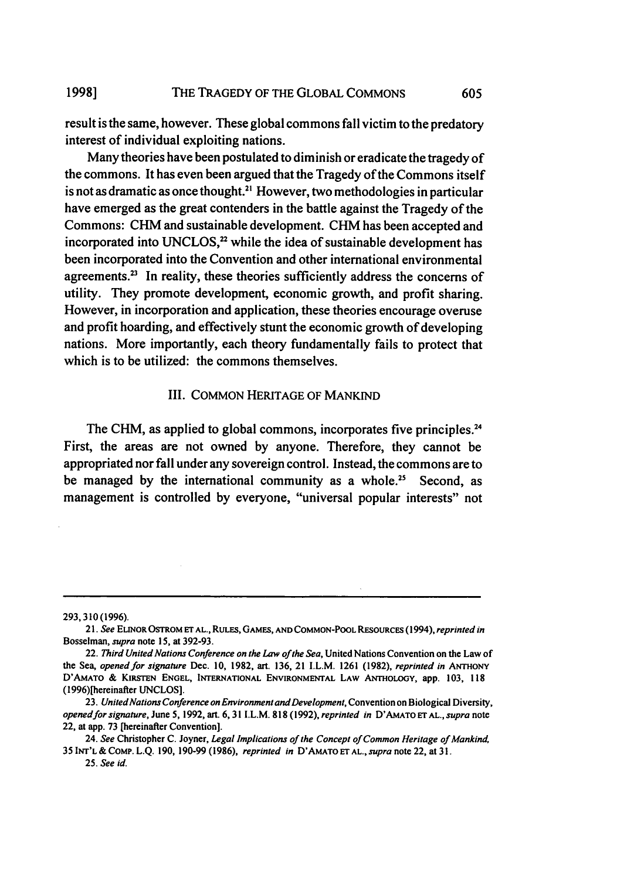result is the same, however. These global commons fall victim to the predatory interest of individual exploiting nations.

Many theories have been postulated to diminish or eradicate the tragedy of the commons. It has even been argued that the Tragedy of the Commons itself is not as dramatic as once thought.<sup>21</sup> However, two methodologies in particular have emerged as the great contenders in the battle against the Tragedy of the Commons: CHM and sustainable development. CHM has been accepted and incorporated into UNCLOS, $2^2$  while the idea of sustainable development has been incorporated into the Convention and other international environmental agreements.<sup>23</sup> In reality, these theories sufficiently address the concerns of utility. They promote development, economic growth, and profit sharing. However, in incorporation and application, these theories encourage overuse and profit hoarding, and effectively stunt the economic growth of developing nations. More importantly, each theory fundamentally fails to protect that which is to be utilized: the commons themselves.

#### III. COMMON HERITAGE OF MANKIND

The CHM, as applied to global commons, incorporates five principles.<sup>24</sup> First, the areas are not owned by anyone. Therefore, they cannot be appropriated nor fall under any sovereign control. Instead, the commons are to be managed by the international community as a whole.<sup>25</sup> Second, as management is controlled by everyone, "universal popular interests" not

<sup>293,</sup> 310 (1996).

*<sup>21.</sup> See* **ELINOR OSTROM ET AL., RULES, GAMES, AND COMMON-POOL RESoURcES** (1994), *reprinted in* Bosselman, *supra* note **15,** at **392-93.**

<sup>22.</sup> *Third United Nations Conference on the Law of the Sea,* United Nations Convention on the Law of the **Sea,** *opened for signature* Dec. **10, 1982,** art. **136,** 21 I.L.M. **1261 (1982),** *reprinted in* **ANTHONY D'AMATO & KIRSTEN ENGEL, INTERNATIONAL ENVIRONMENTAL LAW ANTHOLOGY, app. 103, 118** (1996)[hereinafter **UNCLOS].**

**<sup>23.</sup>** *United Nations Conference on Environment and Development,* Convention on Biological Diversity, *openedfor signature,* June **5, 1992,** art. **6,31** I.L.M. **818 (1992),** *reprinted in D'AMATOETAL.,supra* note 22, at app. **73** [hereinafter Convention].

<sup>24.</sup> *See* Christopher C. Joyner, *Legal Implications of the Concept of Common Heritage of Mankind,* 35 **INT'L** & COMP. **L.Q. 190, 190-99 (1986),** *reprinted in* **D'AMATO ET AL.,** *supra* note 22, at 3 **1.**

<sup>25.</sup> *See id.*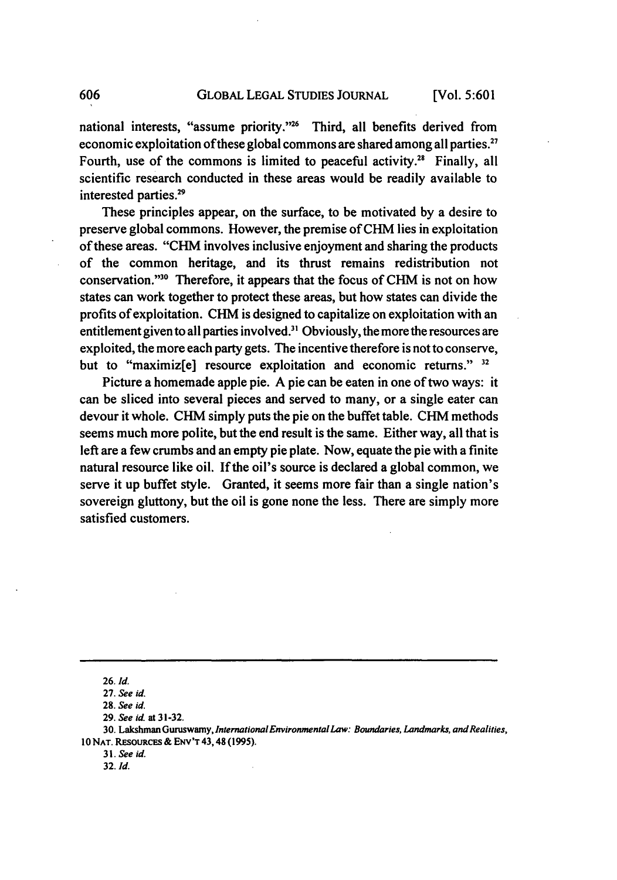national interests, "assume priority."<sup>26</sup> Third, all benefits derived from economic exploitation of these global commons are shared among all parties." Fourth, use of the commons is limited to peaceful activity.<sup>28</sup> Finally, all scientific research conducted in these areas would be readily available to interested parties.29

These principles appear, on the surface, to be motivated **by** a desire to preserve global commons. However, the premise of CHM lies in exploitation of these areas. "CHM involves inclusive enjoyment and sharing the products of the common heritage, and its thrust remains redistribution not conservation."<sup>30</sup> Therefore, it appears that the focus of CHM is not on how states can work together to protect these areas, but how states can divide the profits of exploitation. **CHM** is designed to capitalize on exploitation with an entitlement given to all parties involved.<sup>31</sup> Obviously, the more the resources are exploited, the more each party gets. The incentive therefore is not to conserve, but to "maximiz[e] resource exploitation and economic returns." **32**

Picture a homemade apple pie. A pie can be eaten in one of two ways: it can be sliced into several pieces and served to many, or a single eater can devour it whole. **CHM** simply puts the pie on the buffet table. **CHM** methods seems much more polite, but the end result is the same. Either way, all that is left are a few crumbs and an empty pie plate. Now, equate the pie with a finite natural resource like oil. If the oil's source is declared a global common, we serve it up buffet style. Granted, it seems more fair than a single nation's sovereign gluttony, but the oil is gone none the less. There are simply more satisfied customers.

**<sup>26.</sup>** *Id.*

**<sup>27.</sup>** *See id.*

**<sup>28.</sup>** *See id.*

**<sup>29.</sup>** *See id.* at **31-32.**

<sup>30.</sup> Lakshman Guruswamy, *International Environmental Law: Boundaries, Landmarks, and Realities,* **10 NAT. RESOURCES & ENV'T 43,48 (1995).**

**<sup>31.</sup>** *See id.*

**<sup>32.</sup> Id.**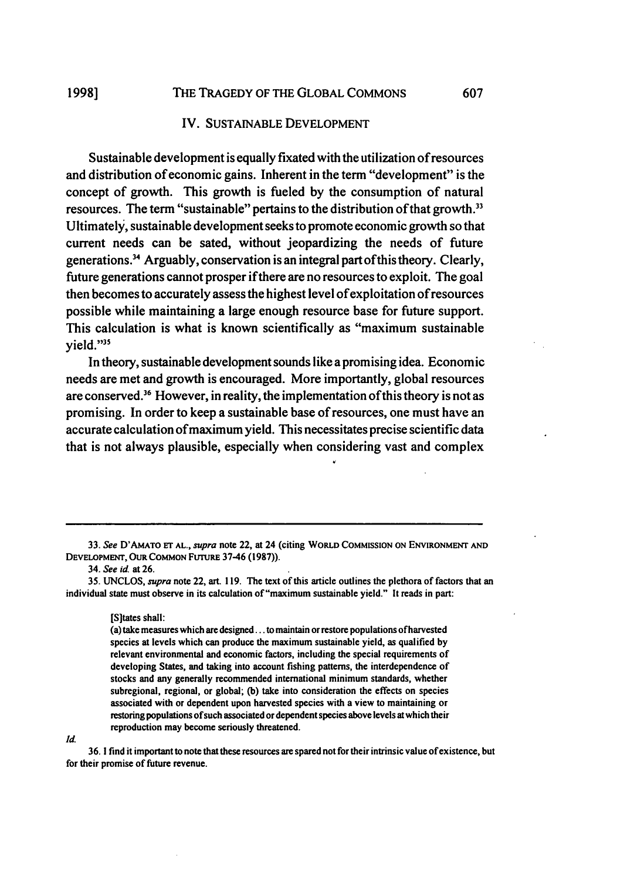#### IV. **SUSTAINABLE DEVELOPMENT**

Sustainable development is equally fixated with the utilization of resources and distribution of economic gains. Inherent in the term "development" is the concept of growth. This growth is fueled **by** the consumption of natural resources. The term "sustainable" pertains to the distribution of that growth.<sup>33</sup> Ultimately, sustainable development seeks to promote economic growth so that current needs can be sated, without jeopardizing the needs of future generations.34 Arguably, conservation is an integral part ofthis theory. Clearly, future generations cannot prosper if there are no resources to exploit. The goal then becomes to accurately assess the highest level of exploitation of resources possible while maintaining a large enough resource base for future support. This calculation is what is known scientifically as "maximum sustainable yield."35

In theory, sustainable development sounds like a promising idea. Economic needs are met and growth is encouraged. More importantly, global resources are conserved.<sup>36</sup> However, in reality, the implementation of this theory is not as promising. In order to keep a sustainable base of resources, one must have an accurate calculation of maximum yield. This necessitates precise scientific data that is not always plausible, especially when considering vast and complex

**33. See D'AMATo ET AL., supra** note 22, at 24 (citing WORLD **COMMISSION** ON **ENVIRONMENT AND** DEVELOPMENT, OUR **COMMON FtrruRE 37-46 (1987)).**

**34. See id.** at **26.**

**35. UNCLOS,** *supra* note 22, art. **119.** The text of this article outlines the plethora of factors that an individual state must observe in its calculation of "maximum sustainable yield." It reads in part:

[Sltates shall:

(a) take measures which are designed **...** to maintain or restore populations of harvested species at levels which can produce the maximum sustainable yield, as qualified **by** relevant environmental and economic factors, including the special requirements of developing States, and taking into account fishing patterns, the interdependence of stocks and any generally recommended international minimum standards, whether subregional, regional, or global; **(b)** take into consideration the effects on species associated with or dependent upon harvested species with a view to maintaining or restoring populations of such associated or dependent species above levels at which their reproduction may become seriously threatened.

*Id.*

**36. 1** find it important to note that these resources are spared not for their intrinsic value of existence, but for their promise of future revenue.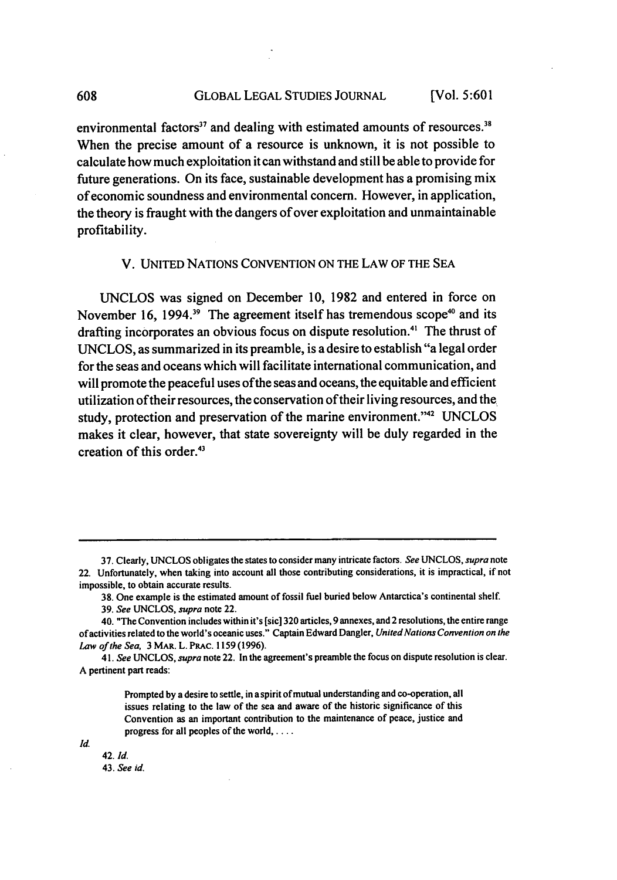environmental factors<sup>37</sup> and dealing with estimated amounts of resources.<sup>38</sup> When the precise amount of a resource is unknown, it is not possible to calculate how much exploitation it can withstand and still be able to provide for future generations. On its face, sustainable development has a promising mix of economic soundness and environmental concern. However, in application, the theory is fraught with the dangers of over exploitation and unmaintainable profitability.

#### V. UNITED NATIONS CONVENTION ON THE LAW OF THE SEA

UNCLOS was signed on December 10, 1982 and entered in force on November 16, 1994.<sup>39</sup> The agreement itself has tremendous scope<sup>40</sup> and its drafting incorporates an obvious focus on dispute resolution. 4' The thrust of UNCLOS, as summarized in its preamble, is a desire to establish "a legal order for the seas and oceans which will facilitate international communication, and will promote the peaceful uses of the seas and oceans, the equitable and efficient utilization of their resources, the conservation of their living resources, and the study, protection and preservation of the marine environment."<sup>42</sup> UNCLOS makes it clear, however, that state sovereignty will be duly regarded in the creation of this order.<sup>43</sup>

38. One example is the estimated amount of fossil fuel buried below Antarctica's continental shelf.

Prompted by a desire to settle, in a spirit of mutual understanding and co-operation, all issues relating to the law of the sea and aware of the historic significance of this Convention as an important contribution to the maintenance of peace, justice and progress for all peoples of the world, . . . .

*Id.*

42. *Id.* 43. *See id.*

608

**<sup>37.</sup>** Clearly, UNCLOS obligates the states to consider many intricate factors. *See* UNCLOS, *supra* note 22. Unfortunately, when taking into account all those contributing considerations, it is impractical, if not impossible, to obtain accurate results.

<sup>39.</sup> *See* UNCLOS, *supra* note 22.

<sup>40. &</sup>quot;The Convention includes within it's [sic] 320 articles, 9 annexes, and 2 resolutions, the entire range of activities related to the world's oceanic uses." Captain Edward Dangler, *United Nations Convention on the Law of the Sea,* 3 MAR. L. PRAc. 1159 (1996).

*<sup>41.</sup> See* UNCLOS, *supra* note 22. In **the** agreement's preamble the focus on dispute resolution is clear. A pertinent part reads: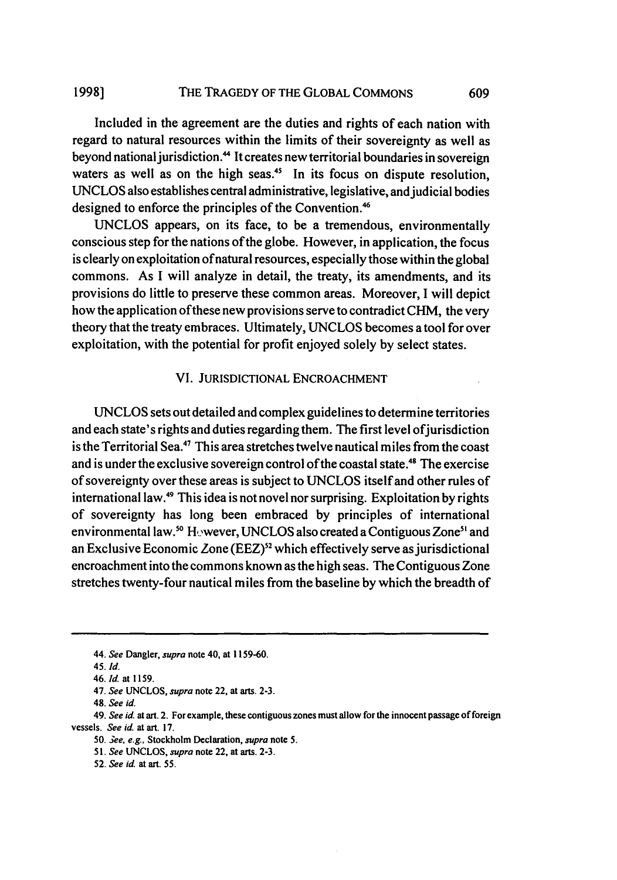#### THE TRAGEDY OF THE GLOBAL COMMONS **1998] 609**

Included in the agreement are the duties and rights of each nation with regard to natural resources within the limits of their sovereignty as well as beyond national jurisdiction.<sup>44</sup> It creates new territorial boundaries in sovereign waters as well as on the high seas.<sup>45</sup> In its focus on dispute resolution, UNCLOS also establishes central administrative, legislative, and judicial bodies designed to enforce the principles of the Convention.<sup>46</sup>

UNCLOS appears, on its face, to be a tremendous, environmentally conscious step for the nations of the globe. However, in application, the focus is clearly on exploitation of natural resources, especially those within the global commons. As I will analyze in detail, the treaty, its amendments, and its provisions do little to preserve these common areas. Moreover, I will depict how the application of these new provisions serve to contradict CHM, the very theory that the treaty embraces. Ultimately, UNCLOS becomes a tool for over exploitation, with the potential for profit enjoyed solely **by** select states.

#### VI. JURISDICTIONAL ENCROACHMENT

UNCLOS sets out detailed and complex guidelines to determine territories and each state's rights and duties regarding them. The first level of jurisdiction is the Territorial Sea.<sup>47</sup> This area stretches twelve nautical miles from the coast and is under the exclusive sovereign control of the coastal state.<sup>48</sup> The exercise of sovereignty over these areas is subject to UNCLOS itself and other rules of international law.49 This idea is not novel nor surprising. Exploitation **by** rights of sovereignty has long been embraced **by** principles of international environmental law.<sup>50</sup> However, UNCLOS also created a Contiguous Zone<sup>51</sup> and an Exclusive Economic Zone (EEZ)<sup>52</sup> which effectively serve as jurisdictional encroachment into the commons known as the high seas. The Contiguous Zone stretches twenty-four nautical miles from the baseline **by** which the breadth of

**49. See** *id.* at art. 2. For example, these contiguous zones must allow for the innocent passage of foreign vessels. **See** *id.* at art. **17.**

*50. 3ee,* **e.g.,** Stockholm Declaration, **supra** note 5.

**<sup>44.</sup> See** Dangler, **supra** note 40, at **1159-60.**

**<sup>45.</sup> Id.**

**<sup>46.</sup>** *Id.* **at 1159.**

<sup>47.</sup> **See UNCLOS, supra** note 22, at arts. **2-3.**

<sup>48.</sup> **See** *id.*

*<sup>51.</sup>* **See UNCLOS, supra** note **22,** at arts. **2-3.**

**<sup>52.</sup> See** *id. at art. 55.*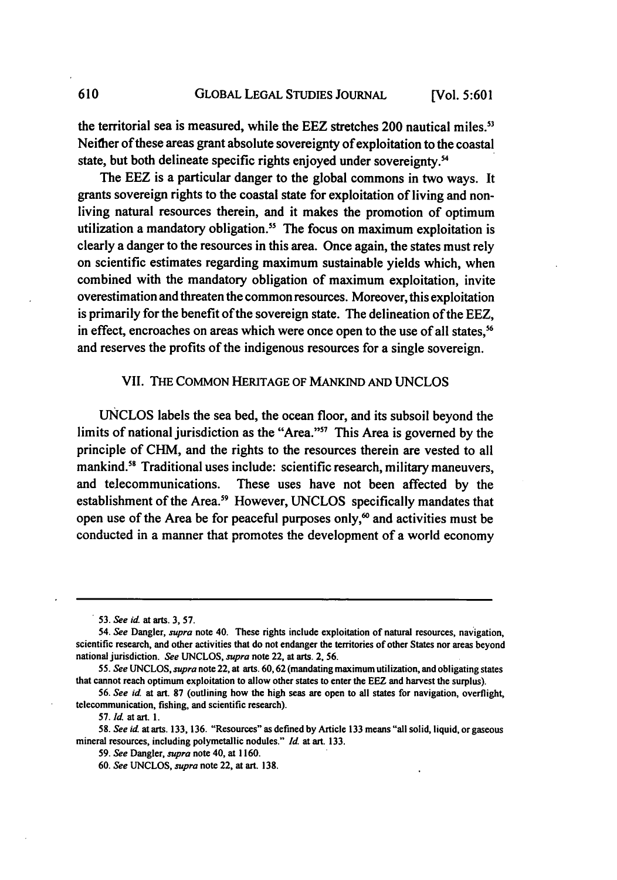the territorial sea is measured, while the EEZ stretches 200 nautical miles.<sup>53</sup> Neither of these areas grant absolute sovereignty of exploitation to the coastal state, but both delineate specific rights enjoyed under sovereignty.<sup>54</sup>

The EEZ is a particular danger to the global commons in two ways. It grants sovereign rights to the coastal state for exploitation of living and nonliving natural resources therein, and it makes the promotion of optimum utilization a mandatory obligation.<sup>55</sup> The focus on maximum exploitation is clearly a danger to the resources in this area. Once again, the states must rely on scientific estimates regarding maximum sustainable yields which, when combined with the mandatory obligation of maximum exploitation, invite overestimation and threaten the common resources. Moreover, this exploitation is primarily for the benefit of the sovereign state. The delineation of the EEZ, in effect, encroaches on areas which were once open to the use of all states,<sup>56</sup> and reserves the profits of the indigenous resources for a single sovereign.

### VII. THE COMMON HERITAGE OF MANKIND AND UNCLOS

UNCLOS labels the sea bed, the ocean floor, and its subsoil beyond the limits of national jurisdiction as the "Area."" This Area is governed **by** the principle of CHM, and the rights to the resources therein are vested to all mankind.<sup>58</sup> Traditional uses include: scientific research, military maneuvers, and telecommunications. These uses have not been affected **by** the establishment of the Area.<sup>59</sup> However, UNCLOS specifically mandates that open use of the Area be for peaceful purposes only,<sup> $\omega$ </sup> and activities must be conducted in a manner that promotes the development of a world economy

610

**<sup>53.</sup> See id.** at arts. **3, 57.**

<sup>54.</sup> *See* Dangler, *supra* note 40. These rights include exploitation of natural resources, nav igation, scientific research, and other activities that do not endanger the territories of other States nor areas beyond national jurisdiction. *See* **UNCLOS, supra** note 22, at arts. 2, **56.**

**<sup>55.</sup>** *See* **UNCLOS,** *supra* note 22, at arts. **60,62** (mandating maximum utilization, and obligating states that cannot reach optimum exploitation to allow other states to enter the EEZ and harvest the surplus).

**<sup>56.</sup>** *See id.* at art. **87** (outlining how the high seas are open to all states for navigation, overflight, telecommunication, fishing, and scientific research).

**<sup>57.</sup> Id.** at art. **1.**

**<sup>58.</sup>** *See* **id.** at arts. **133, 136.** "Resources" as defined **by** Article **133** means "all solid, liquid, or gaseous mineral resources, including polymetallic nodules." **Id.** at art. **133.**

**<sup>59.</sup>** *See* Dangler, *supra* note 40, at **1160.**

**<sup>60.</sup>** *See* **UNCLOS,** *supra* note 22, at art. **138.**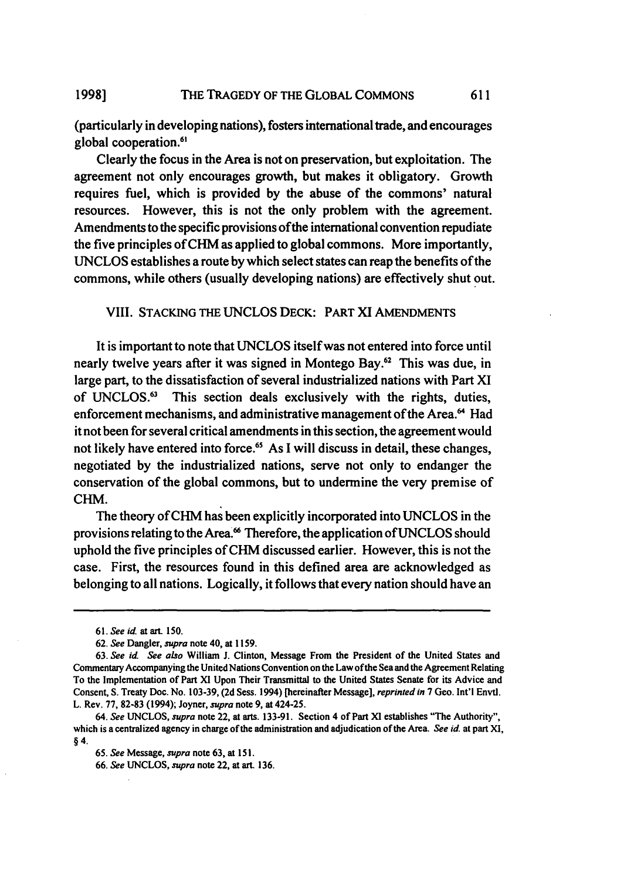#### THE TRAGEDY OF THE GLOBAL COMMONS **1998]**

(particularly in developing nations), fosters international trade, and encourages global cooperation.<sup>61</sup>

611

Clearly the focus in the Area is not on preservation, but exploitation. The agreement not only encourages growth, but makes it obligatory. Growth requires fuel, which is provided **by** the abuse of the commons' natural resources. However, this is not the only problem with the agreement. Amendments to the specific provisions of the international convention repudiate the five principles of CHM as applied to global commons. More importantly, **UNCLOS** establishes a route **by** which select states can reap the benefits of the commons, while others (usually developing nations) are effectively shut out.

#### VIII. STACKING THE **UNCLOS** DECK: PART XI **AMENDMENTS**

It is important to note that **UNCLOS** itself was not entered into force until nearly twelve years after it was signed in Montego Bay.<sup>62</sup> This was due, in large part, to the dissatisfaction of several industrialized nations with Part XI of **UNCLOS.63** This section deals exclusively with the rights, duties, enforcement mechanisms, and administrative management of the Area.<sup>64</sup> Had it not been for several critical amendments in this section, the agreement would not likely have entered into force.<sup>65</sup> As I will discuss in detail, these changes, negotiated **by** the industrialized nations, serve not only to endanger the conservation of the global commons, but to undermine the very premise of **CHM.**

The theory of CHM has been explicitly incorporated into **UNCLOS** in the provisions relating to the Area.<sup>66</sup> Therefore, the application of UNCLOS should uphold the five principles of **CHM** discussed earlier. However, this is not the case. First, the resources found in this defined area are acknowledged as belonging to all nations. Logically, it follows that every nation should have an

*<sup>61.</sup> See id.* at art. **150.**

**<sup>62.</sup>** *See* Dangler, *supra* note 40, at **1159.**

**<sup>63.</sup>** *See id. See also* William **J.** Clinton, Message From the President of the United States and Commentary Accompanying the United Nations Convention on the Law of the Sea and the Agreement Relating To the Implementation of Part XI Upon Their Transmittal to the United States Senate for its Advice and Consent, S. Treaty Doc. No. **103-39, (2d** Sess. 1994) [hereinafter Message], *reprinted in* **7** Geo. Int'l Envtl. L. Rev. **77, 82-83** (1994); Joyner, *supra* note **9,** at 424-25.

*<sup>64.</sup> See* **UNCLOS,** *supra* note 22, at arts. **133-91.** Section 4 of Part **XI** establishes "The Authority", which is a centralized agency in charge of the administration and adjudication of the Area. *See id.* at part **XI,** §4.

*<sup>65.</sup> See* Message, *supra* note **63,** at **15 1.**

**<sup>66.</sup>** *See* **UNCLOS,** *supra* note **22,** at art. **136.**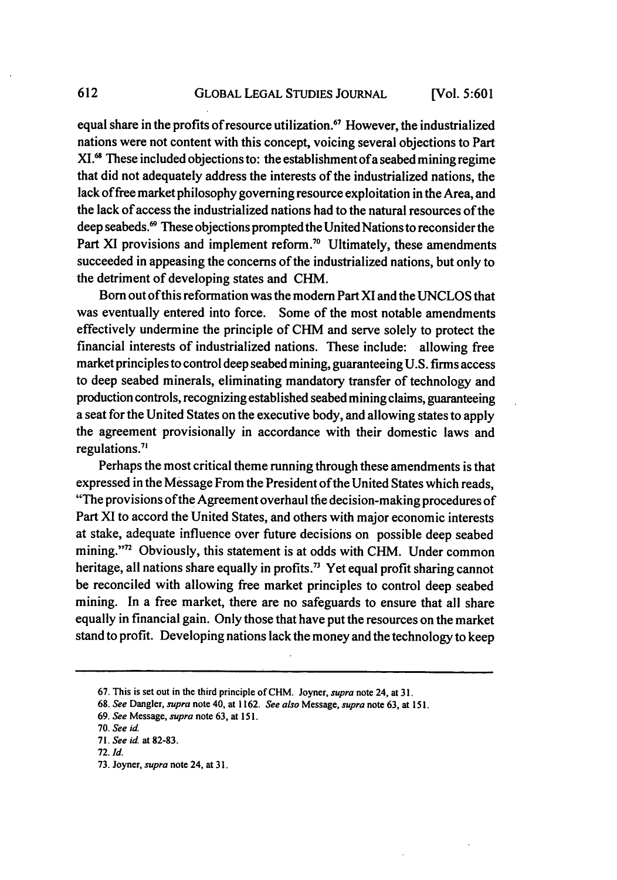equal share in the profits of resource utilization." However, the industrialized nations were not content with this concept, voicing several objections to Part XI.<sup>68</sup> These included objections to: the establishment of a seabed mining regime that did not adequately address the interests of the industrialized nations, the lack of free market philosophy governing resource exploitation in the Area, and the lack of access the industrialized nations had to the natural resources of the deep seabeds. 9 These objections prompted the United Nations to reconsider the Part XI provisions and implement reform.<sup>70</sup> Ultimately, these amendments succeeded in appeasing the concerns of the industrialized nations, but only to the detriment of developing states and CHM.

Born out of this reformation was the modem Part XI and the UNCLOS that was eventually entered into force. Some of the most notable amendments effectively undermine the principle of CHM and serve solely to protect the financial interests of industrialized nations. These include: allowing free market principles to control deep seabed mining, guaranteeing U.S. firms access to deep seabed minerals, eliminating mandatory transfer of technology and production controls, recognizing established seabed mining claims, guaranteeing a seat for the United States on the executive body, and allowing states to apply the agreement provisionally in accordance with their domestic laws and regulations.<sup>7</sup>

Perhaps the most critical theme running through these amendments is that expressed in the Message From the President of the United States which reads, "The provisions ofthe Agreement overhaul the decision-making procedures of Part XI to accord the United States, and others with major economic interests at stake, adequate influence over future decisions on possible deep seabed mining."<sup>72</sup> Obviously, this statement is at odds with CHM. Under common heritage, all nations share equally in profits.<sup>73</sup> Yet equal profit sharing cannot be reconciled with allowing free market principles to control deep seabed mining. In a free market, there are no safeguards to ensure that all share equally in financial gain. Only those that have put the resources on the market stand to profit. Developing nations lack the money and the technology to keep

**<sup>67.</sup>** This is set out in the third principle ofCHM. Joyner, *supra* note 24, at **31.**

**<sup>68.</sup>** *See* Dangler, *supra* note 40, at **1162.** *See also* Message, *supra* note **63,** at 151.

**<sup>69.</sup>** *See* Message, *supra* note **63,** at 151.

**<sup>70.</sup>** *See* id.

*<sup>71.</sup> See* id. at 82-83.

**<sup>72.</sup>** *Id.*

**<sup>73.</sup>** Joyner, *supra* note 24, at 3 **1.**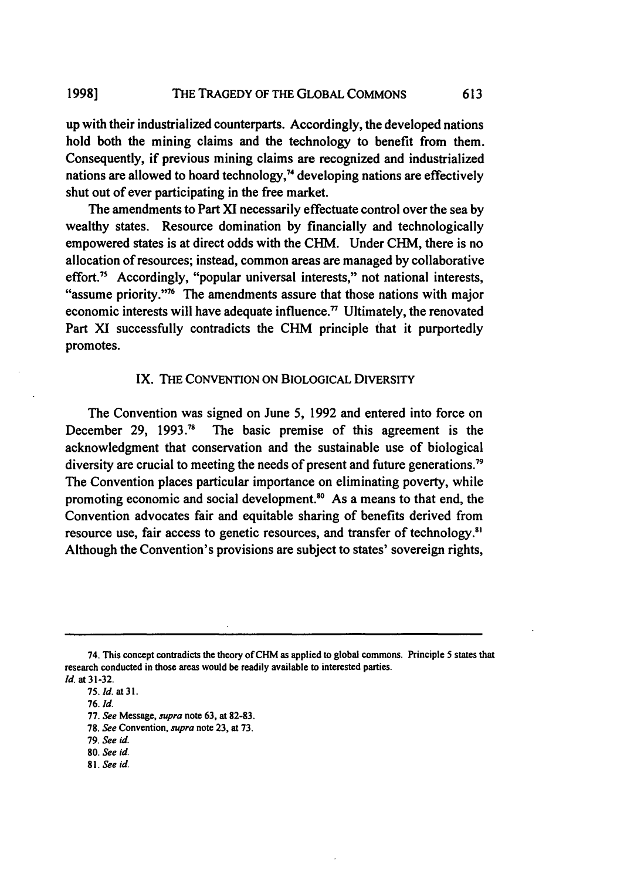up with their industrialized counterparts. Accordingly, the developed nations hold both the mining claims and the technology to benefit from them. Consequently, if previous mining claims are recognized and industrialized nations are allowed to hoard technology,<sup>74</sup> developing nations are effectively shut out of ever participating in the free market.

The amendments to Part **XI** necessarily effectuate control over the sea **by** wealthy states. Resource domination **by** financially and technologically empowered states is at direct odds with the CHM. Under **CHM,** there is no allocation of resources; instead, common areas are managed **by** collaborative effort.<sup>75</sup> Accordingly, "popular universal interests," not national interests, "assume priority."76 The amendments assure that those nations with major economic interests will have adequate influence.<sup> $\eta$ </sup> Ultimately, the renovated Part **XI** successfully contradicts the CHM principle that it purportedly promotes.

#### **IX.** THE **CONVENTION** ON **BIOLOGICAL** DIVERSITY

The Convention was signed on June **5, 1992** and entered into force on December **29, 1993.7"** The basic premise of this agreement is the acknowledgment that conservation and the sustainable use of biological diversity are crucial to meeting the needs of present and future generations.<sup>79</sup> The Convention places particular importance on eliminating poverty, while promoting economic and social development.<sup>80</sup> As a means to that end, the Convention advocates fair and equitable sharing of benefits derived from resource use, fair access to genetic resources, and transfer of technology.<sup>81</sup> Although the Convention's provisions are subject to states' sovereign rights,

**81. See id.**

<sup>74.</sup> This concept contradicts the theory of CHM as applied to global commons. Principle 5 states that research conducted in those areas would be readily available to interested parties. **Id.** at **31-32.**

**<sup>75.</sup> Id.** at **31.**

**<sup>76.</sup> Id.**

**<sup>77.</sup> See** Message, *supra* note **63,** at **82-83.**

**<sup>78.</sup> See** Convention, **supra** note **23,** at **73.**

**<sup>79.</sup>** *See id.*

**<sup>80.</sup> See id.**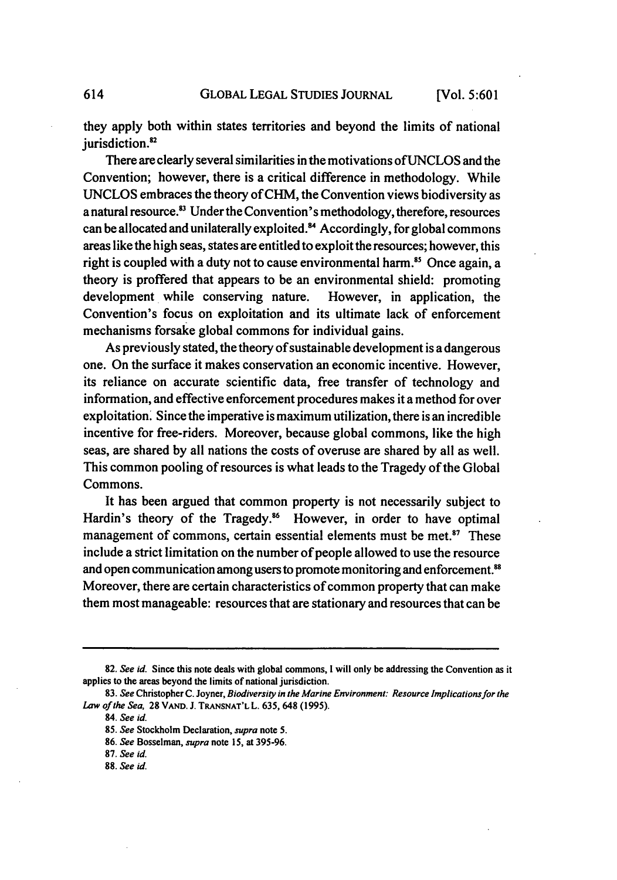they apply both within states territories and beyond the limits of national jurisdiction.<sup>82</sup>

There are clearly several similarities in the motivations ofUNCLOS and the Convention; however, there is a critical difference in methodology. While UNCLOS embraces the theory of CHM, the Convention views biodiversity as a natural resource.<sup>83</sup> Under the Convention's methodology, therefore, resources can be allocated and unilaterally exploited.<sup>84</sup> Accordingly, for global commons areas like the high seas, states are entitled to exploit the resources; however, this right is coupled with a duty not to cause environmental harm.<sup>85</sup> Once again, a theory is proffered that appears to be an environmental shield: promoting development while conserving nature. However, in application, the Convention's focus on exploitation and its ultimate lack of enforcement mechanisms forsake global commons for individual gains.

As previously stated, the theory of sustainable development is a dangerous one. On the surface it makes conservation an economic incentive. However, its reliance on accurate scientific data, free transfer of technology and information, and effective enforcement procedures makes it a method for over exploitation. Since the imperative is maximum utilization, there is an incredible incentive for free-riders. Moreover, because global commons, like the high seas, are shared **by** all nations the costs of overuse are shared **by** all as well. This common pooling of resources is what leads to the Tragedy of the Global Commons.

It has been argued that common property is not necessarily subject to Hardin's theory of the Tragedy.<sup>86</sup> However, in order to have optimal management of commons, certain essential elements must be met.<sup>87</sup> These include a strict limitation on the number of people allowed to use the resource and open communication among users to promote monitoring and enforcement.<sup>88</sup> Moreover, there are certain characteristics of common property that can make them most manageable: resources that are stationary and resources that can be

614

**<sup>82.</sup>** *See id.* Since this note deals with global commons, **I** will only **be** addressing the Convention as it applies to the areas beyond the limits of national jurisdiction.

*<sup>83.</sup> See* Christopher C. Joyner, *Biodiversity in the Marine Environment: Resource Implications for the Law of* the Sea, 28 **VAND.** J. **TRANSNAT'L L. 635, 648 (1995).**

**<sup>84.</sup>** *See id.*

**<sup>85.</sup>** *See* Stockholm Declaration, *supra* note **5.**

**<sup>86.</sup>** *See* Bosselman, *supra* note **15,** at **395-96.**

**<sup>87.</sup>** *See id.*

**<sup>88.</sup>** *See id.*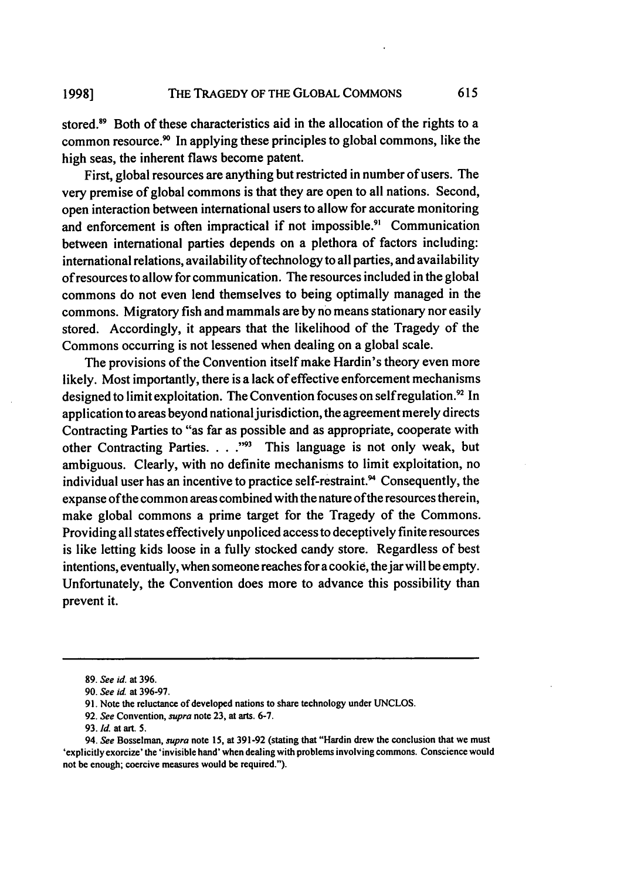stored.<sup>89</sup> Both of these characteristics aid in the allocation of the rights to a common resource.<sup>90</sup> In applying these principles to global commons, like the high seas, the inherent flaws become patent.

First, global resources are anything but restricted in number of users. The very premise of global commons is that they are open to all nations. Second, open interaction between international users to allow for accurate monitoring and enforcement is often impractical if not impossible.<sup>91</sup> Communication between international parties depends on a plethora of factors including: international relations, availability oftechnology to all parties, and availability of resources to allow for communication. The resources included in the global commons do not even lend themselves to being optimally managed in the commons. Migratory fish and mammals are **by** no means stationary nor easily stored. Accordingly, it appears that the likelihood of the Tragedy of the Commons occurring is not lessened when dealing on a global scale.

The provisions of the Convention itself make Hardin's theory even more likely. Most importantly, there is a lack of effective enforcement mechanisms designed to limit exploitation. The Convention focuses on self regulation.<sup>92</sup> In application to areas beyond national jurisdiction, the agreement merely directs Contracting Parties to "as far as possible and as appropriate, cooperate with other Contracting Parties. . . .<sup>"93</sup> This language is not only weak, but ambiguous. Clearly, with no definite mechanisms to limit exploitation, no individual user has an incentive to practice self-restraint.<sup>94</sup> Consequently, the expanse of the common areas combined with the nature of the resources therein, make global commons a prime target for the Tragedy of the Commons. Providing all states effectively unpoliced access to deceptively finite resources is like letting kids loose in a fully stocked candy store. Regardless of best intentions, eventually, when someone reaches for a cookie, the jar will be empty. Unfortunately, the Convention does more to advance this possibility than prevent it.

**<sup>89.</sup>** *See* **id. at 396.**

**<sup>90.</sup>** *See* **id.** at **396-97.**

**<sup>91.</sup>** Note the reluctance of developed nations to share technology under **UNCLOS.**

**<sup>92.</sup>** *See* Convention, *supra* note **23,** at arts. **6-7.**

**<sup>93.</sup>** *fd.* at art. **5.**

<sup>94.</sup> *See* Bosselman, *supra* note **15,** at **391-92** (stating that "Hardin drew the conclusion that we must 'explicitly exorcize' the 'invisible hand' when dealing with problems involving commons. Conscience would not be enough; coercive measures would be required.").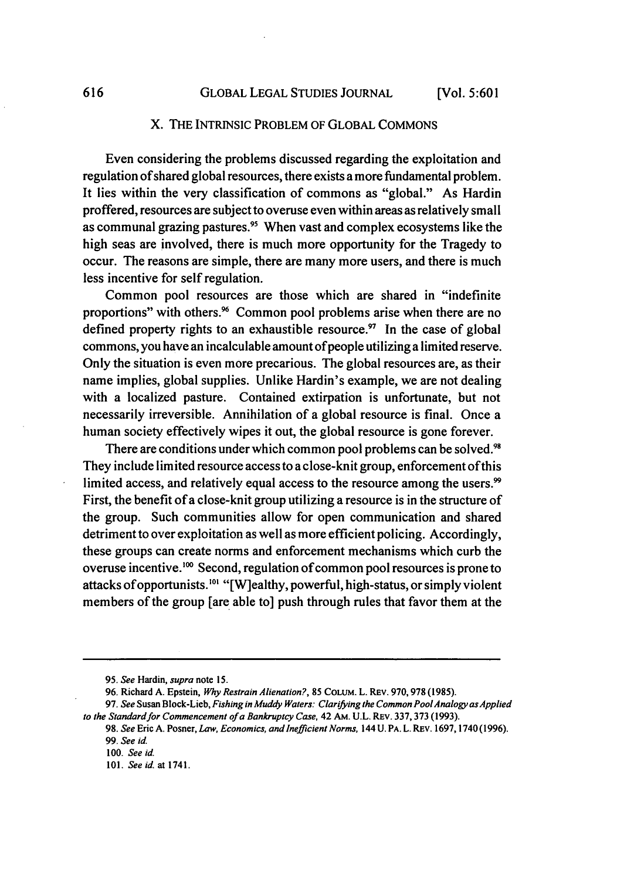#### X. THE INTRINSIC PROBLEM OF GLOBAL COMMONS

Even considering the problems discussed regarding the exploitation and regulation of shared global resources, there exists a more fundamental problem. It lies within the very classification of commons as "global." As Hardin proffered, resources are subject to overuse even within areas as relatively small as communal grazing pastures.<sup>95</sup> When vast and complex ecosystems like the high seas are involved, there is much more opportunity for the Tragedy to occur. The reasons are simple, there are many more users, and there is much less incentive for self regulation.

Common pool resources are those which are shared in "indefinite proportions" with others.<sup>96</sup> Common pool problems arise when there are no defined property rights to an exhaustible resource. $\frac{37}{10}$  In the case of global commons, you have an incalculable amount of people utilizing a limited reserve. Only the situation is even more precarious. The global resources are, as their name implies, global supplies. Unlike Hardin's example, we are not dealing with a localized pasture. Contained extirpation is unfortunate, but not necessarily irreversible. Annihilation of a global resource is final. Once a human society effectively wipes it out, the global resource is gone forever.

There are conditions under which common pool problems can be solved.<sup>9</sup> They include limited resource access to a close-knit group, enforcement of this limited access, and relatively equal access to the resource among the users.<sup>99</sup> First, the benefit of a close-knit group utilizing a resource is in the structure of the group. Such communities allow for open communication and shared detriment to over exploitation as well as more efficient policing. Accordingly, these groups can create norms and enforcement mechanisms which curb the overuse incentive. **"** Second, regulation of common pool resources is prone to attacks of opportunists.<sup>101</sup> "[W]ealthy, powerful, high-status, or simply violent members of the group [are able to] push through rules that favor them at the

<sup>95.</sup> *See* Hardin, *supra* note **15.**

<sup>96.</sup> Richard A. Epstein, *Why Restrain Alienation?,* **85** COLUM. L. REV. 970,978 (1985).

<sup>97.</sup> *See* Susan Block-Lieb, Fishing in Muddy *Waters: Clarifying the Common PoolAnalogy as Applied* to the Standard for Commencement of a Bankruptcy Case, 42 AM. U.L. REV. 337, 373 (1993).

<sup>98.</sup> *See* Eric A. Posner, *Law, Economics, and Inefficient Norms,* 144 **U.** PA. L. REv. 1697,1740(1996). 99. See id.

<sup>100.</sup> *See* id.

<sup>101.</sup> *See* id. at 1741.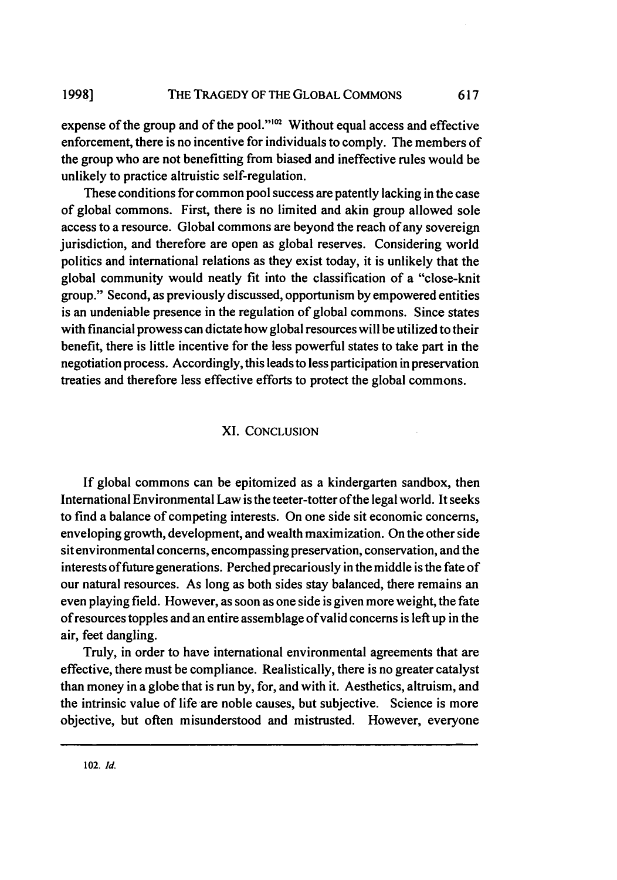expense of the group and of the pool." $^{102}$  Without equal access and effective enforcement, there is no incentive for individuals to comply. The members of the group who are not benefitting from biased and ineffective rules would be unlikely to practice altruistic self-regulation.

These conditions for common pool success are patently lacking in the case of global commons. First, there is no limited and akin group allowed sole access to a resource. Global commons are beyond the reach of any sovereign jurisdiction, and therefore are open as global reserves. Considering world politics and international relations as they exist today, it is unlikely that the global community would neatly fit into the classification of a "close-knit group." Second, as previously discussed, opportunism by empowered entities is an undeniable presence in the regulation of global commons. Since states with financial prowess can dictate how global resources will be utilized to their benefit, there is little incentive for the less powerful states to take part in the negotiation process. Accordingly, this leads to less participation in preservation treaties and therefore less effective efforts to protect the global commons.

#### XI. CONCLUSION

If global commons can be epitomized as a kindergarten sandbox, then International Environmental Law is the teeter-totter of the legal world. It seeks to find a balance of competing interests. On one side sit economic concerns, enveloping growth, development, and wealth maximization. On the other side sit environmental concerns, encompassing preservation, conservation, and the interests of future generations. Perched precariously in the middle is the fate of our natural resources. As long as both sides stay balanced, there remains an even playing field. However, as soon as one side is given more weight, the fate of resources topples and an entire assemblage of valid concerns is left up in the air, feet dangling.

Truly, in order to have international environmental agreements that are effective, there must be compliance. Realistically, there is no greater catalyst than money in a globe that is run by, for, and with it. Aesthetics, altruism, and the intrinsic value of life are noble causes, but subjective. Science is more objective, but often misunderstood and mistrusted. However, everyone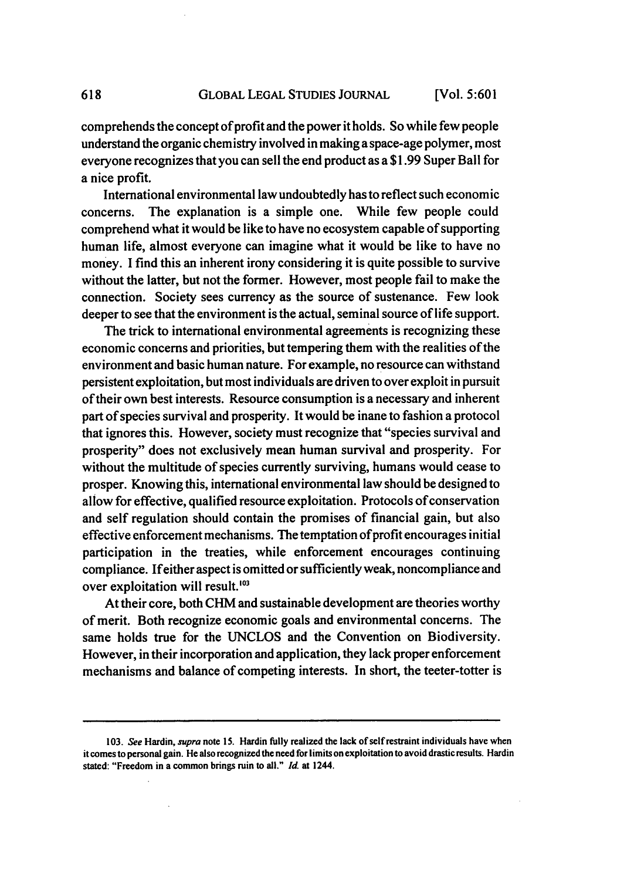comprehends the concept of profit and the power it holds. So while few people understand the organic chemistry involved in making a space-age polymer, most everyone recognizes that you can sell the end product as a \$1.99 Super Ball for a nice profit.

618

International environmental law undoubtedly has to reflect such economic concerns. The explanation is a simple one. While few people could comprehend what it would be like to have no ecosystem capable of supporting human life, almost everyone can imagine what it would be like to have no money. I find this an inherent irony considering it is quite possible to survive without the latter, but not the former. However, most people fail to make the connection. Society sees currency as the source of sustenance. Few look deeper to see that the environment is the actual, seminal source of life support.

The trick to international environmental agreements is recognizing these economic concerns and priorities, but tempering them with the realities of the environment and basic human nature. For example, no resource can withstand persistent exploitation, but most individuals are driven to over exploit in pursuit of their own best interests. Resource consumption is a necessary and inherent part of species survival and prosperity. It would be inane to fashion a protocol that ignores this. However, society must recognize that "species survival and prosperity" does not exclusively mean human survival and prosperity. For without the multitude of species currently surviving, humans would cease to prosper. Knowing this, international environmental law should be designed to allow for effective, qualified resource exploitation. Protocols of conservation and self regulation should contain the promises of financial gain, but also effective enforcement mechanisms. The temptation of profit encourages initial participation in the treaties, while enforcement encourages continuing compliance. Ifeither aspect is omitted or sufficiently weak, noncompliance and over exploitation will result.<sup>103</sup>

At their core, both CHM and sustainable development are theories worthy of merit. Both recognize economic goals and environmental concerns. The same holds true for the UNCLOS and the Convention on Biodiversity. However, in their incorporation and application, they lack proper enforcement mechanisms and balance of competing interests. In short, the teeter-totter is

**<sup>103.</sup>** *See* Hardin, *supra* note **15.** Hardin **fully** realized the lack of self restraint individuals have when it comes to personal gain. He also recognized the need for limits on exploitation to avoid drastic results. Hardin stated: "Freedom in a common brings ruin to all." *Id.* at **1244.**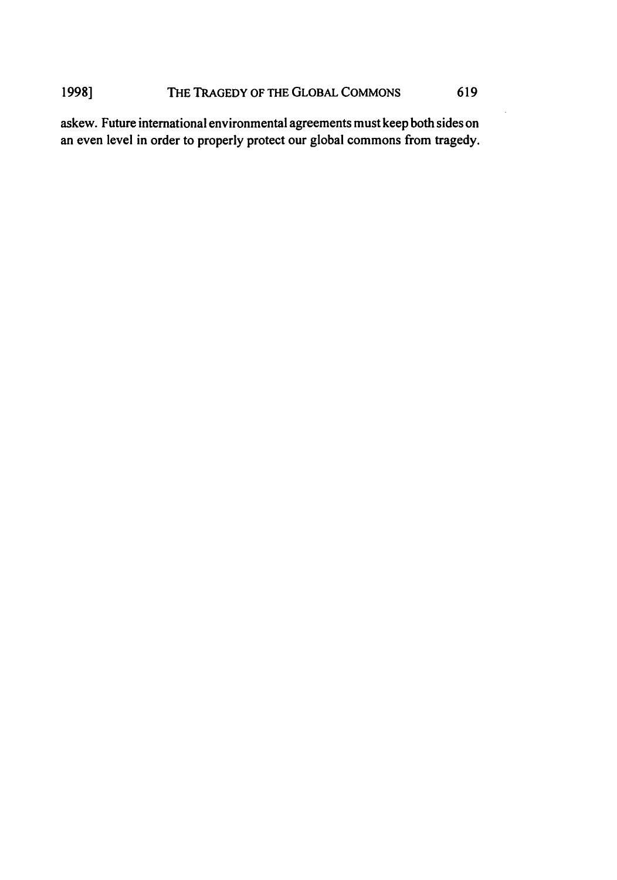### 1998] **THE TRAGEDY OF THE GLOBAL COMMONS** 619

askew. Future international environmental agreements must keep both sides on an even level in order to properly protect our global commons from tragedy.